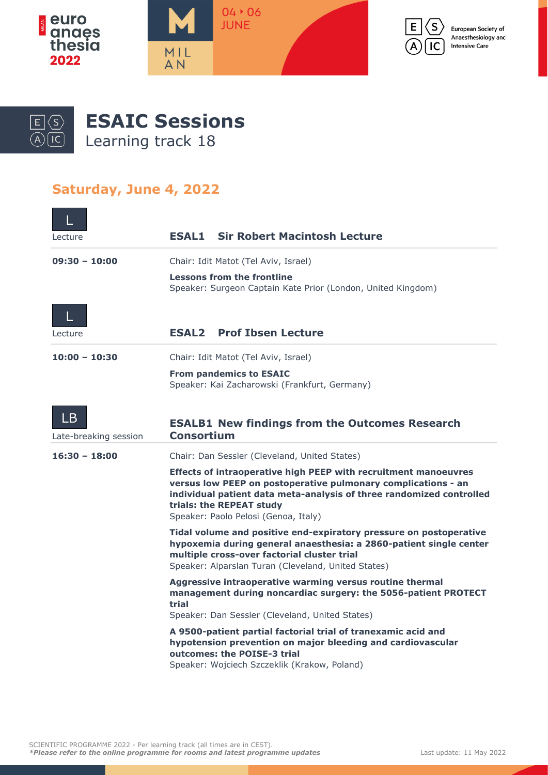



European Society of Anaesthesiology and **Intensive Care** 



**ESAIC Sessions**

Learning track 18

## **Saturday, June 4, 2022**

| Lecture                     | <b>Sir Robert Macintosh Lecture</b><br><b>ESAL1</b>                                                                                                                                                                                                                          |
|-----------------------------|------------------------------------------------------------------------------------------------------------------------------------------------------------------------------------------------------------------------------------------------------------------------------|
| $09:30 - 10:00$             | Chair: Idit Matot (Tel Aviv, Israel)                                                                                                                                                                                                                                         |
|                             | <b>Lessons from the frontline</b><br>Speaker: Surgeon Captain Kate Prior (London, United Kingdom)                                                                                                                                                                            |
| L                           |                                                                                                                                                                                                                                                                              |
| Lecture                     | <b>Prof Ibsen Lecture</b><br><b>ESAL2</b>                                                                                                                                                                                                                                    |
| $10:00 - 10:30$             | Chair: Idit Matot (Tel Aviv, Israel)                                                                                                                                                                                                                                         |
|                             | <b>From pandemics to ESAIC</b><br>Speaker: Kai Zacharowski (Frankfurt, Germany)                                                                                                                                                                                              |
| LB<br>Late-breaking session | <b>ESALB1 New findings from the Outcomes Research</b><br><b>Consortium</b>                                                                                                                                                                                                   |
| $16:30 - 18:00$             | Chair: Dan Sessler (Cleveland, United States)                                                                                                                                                                                                                                |
|                             | Effects of intraoperative high PEEP with recruitment manoeuvres<br>versus low PEEP on postoperative pulmonary complications - an<br>individual patient data meta-analysis of three randomized controlled<br>trials: the REPEAT study<br>Speaker: Paolo Pelosi (Genoa, Italy) |
|                             | Tidal volume and positive end-expiratory pressure on postoperative<br>hypoxemia during general anaesthesia: a 2860-patient single center<br>multiple cross-over factorial cluster trial<br>Speaker: Alparslan Turan (Cleveland, United States)                               |
|                             | Aggressive intraoperative warming versus routine thermal<br>management during noncardiac surgery: the 5056-patient PROTECT<br>trial<br>Speaker: Dan Sessler (Cleveland, United States)                                                                                       |
|                             | A 9500-patient partial factorial trial of tranexamic acid and<br>hypotension prevention on major bleeding and cardiovascular<br>outcomes: the POISE-3 trial<br>Speaker: Wojciech Szczeklik (Krakow, Poland)                                                                  |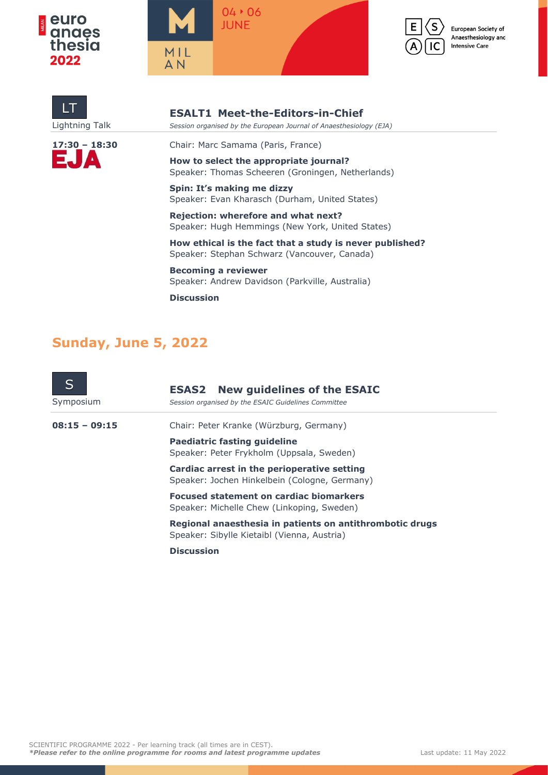





European Society of Anaesthesiology and **Intensive Care** 





**ESALT1 Meet-the-Editors-in-Chief** Lightning Talk *Session organised by the European Journal of Anaesthesiology (EJA)*

**17:30 – 18:30** Chair: Marc Samama (Paris, France)

**How to select the appropriate journal?** Speaker: Thomas Scheeren (Groningen, Netherlands)

**Spin: It's making me dizzy** Speaker: Evan Kharasch (Durham, United States)

**Rejection: wherefore and what next?** Speaker: Hugh Hemmings (New York, United States)

**How ethical is the fact that a study is never published?** Speaker: Stephan Schwarz (Vancouver, Canada)

**Becoming a reviewer** Speaker: Andrew Davidson (Parkville, Australia)

**Discussion**

## **Sunday, June 5, 2022**

| Symposium       | <b>ESAS2</b> New guidelines of the ESAIC<br>Session organised by the ESAIC Guidelines Committee         |
|-----------------|---------------------------------------------------------------------------------------------------------|
| $08:15 - 09:15$ | Chair: Peter Kranke (Würzburg, Germany)                                                                 |
|                 | <b>Paediatric fasting guideline</b><br>Speaker: Peter Frykholm (Uppsala, Sweden)                        |
|                 | Cardiac arrest in the perioperative setting<br>Speaker: Jochen Hinkelbein (Cologne, Germany)            |
|                 | <b>Focused statement on cardiac biomarkers</b><br>Speaker: Michelle Chew (Linkoping, Sweden)            |
|                 | Regional anaesthesia in patients on antithrombotic drugs<br>Speaker: Sibylle Kietaibl (Vienna, Austria) |
|                 | <b>Discussion</b>                                                                                       |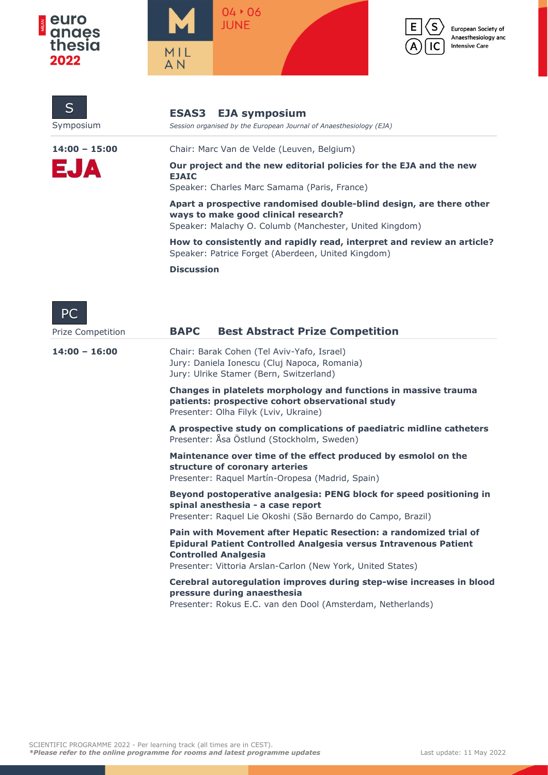

S



**ESAS3 EJA symposium**

Symposium *Session organised by the European Journal of Anaesthesiology (EJA)*



S

IC

European Society of Anaesthesiology and **Intensive Care** 

| $14:00 - 15:00$   | Chair: Marc Van de Velde (Leuven, Belgium)                                                                                                                               |
|-------------------|--------------------------------------------------------------------------------------------------------------------------------------------------------------------------|
| EJA               | Our project and the new editorial policies for the EJA and the new<br><b>EJAIC</b><br>Speaker: Charles Marc Samama (Paris, France)                                       |
|                   | Apart a prospective randomised double-blind design, are there other<br>ways to make good clinical research?<br>Speaker: Malachy O. Columb (Manchester, United Kingdom)   |
|                   | How to consistently and rapidly read, interpret and review an article?<br>Speaker: Patrice Forget (Aberdeen, United Kingdom)                                             |
|                   | <b>Discussion</b>                                                                                                                                                        |
| PC                |                                                                                                                                                                          |
| Prize Competition | <b>Best Abstract Prize Competition</b><br><b>BAPC</b>                                                                                                                    |
| $14:00 - 16:00$   | Chair: Barak Cohen (Tel Aviv-Yafo, Israel)<br>Jury: Daniela Ionescu (Cluj Napoca, Romania)<br>Jury: Ulrike Stamer (Bern, Switzerland)                                    |
|                   | Changes in platelets morphology and functions in massive trauma<br>patients: prospective cohort observational study<br>Presenter: Olha Filyk (Lviv, Ukraine)             |
|                   | A prospective study on complications of paediatric midline catheters<br>Presenter: Åsa Östlund (Stockholm, Sweden)                                                       |
|                   | Maintenance over time of the effect produced by esmolol on the<br>structure of coronary arteries<br>Presenter: Raquel Martín-Oropesa (Madrid, Spain)                     |
|                   | Beyond postoperative analgesia: PENG block for speed positioning in<br>spinal anesthesia - a case report<br>Presenter: Raquel Lie Okoshi (São Bernardo do Campo, Brazil) |
|                   | Pain with Movement after Hepatic Resection: a randomized trial of<br>Epidural Patient Controlled Analgesia versus Intravenous Patient<br><b>Controlled Analgesia</b>     |
|                   | Presenter: Vittoria Arslan-Carlon (New York, United States)                                                                                                              |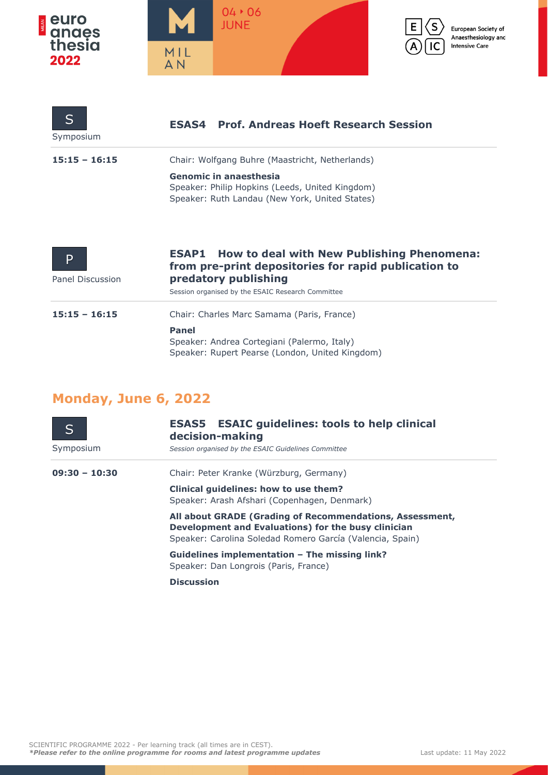

| $\mathsf{S}$<br>Symposium | <b>ESAS4</b> Prof. Andreas Hoeft Research Session                                                                                                                                            |
|---------------------------|----------------------------------------------------------------------------------------------------------------------------------------------------------------------------------------------|
| $15:15 - 16:15$           | Chair: Wolfgang Buhre (Maastricht, Netherlands)                                                                                                                                              |
|                           | Genomic in anaesthesia<br>Speaker: Philip Hopkins (Leeds, United Kingdom)<br>Speaker: Ruth Landau (New York, United States)                                                                  |
| P<br>Panel Discussion     | <b>ESAP1</b> How to deal with New Publishing Phenomena:<br>from pre-print depositories for rapid publication to<br>predatory publishing<br>Session organised by the ESAIC Research Committee |
| $15:15 - 16:15$           | Chair: Charles Marc Samama (Paris, France)<br><b>Panel</b><br>Speaker: Andrea Cortegiani (Palermo, Italy)<br>Speaker: Rupert Pearse (London, United Kingdom)                                 |

## **Monday, June 6, 2022**

|                 | <b>ESAS5</b> ESAIC guidelines: tools to help clinical<br>decision-making                                                                                                     |
|-----------------|------------------------------------------------------------------------------------------------------------------------------------------------------------------------------|
| Symposium       | Session organised by the ESAIC Guidelines Committee                                                                                                                          |
| $09:30 - 10:30$ | Chair: Peter Kranke (Würzburg, Germany)                                                                                                                                      |
|                 | Clinical quidelines: how to use them?<br>Speaker: Arash Afshari (Copenhagen, Denmark)                                                                                        |
|                 | All about GRADE (Grading of Recommendations, Assessment,<br>Development and Evaluations) for the busy clinician<br>Speaker: Carolina Soledad Romero García (Valencia, Spain) |
|                 | Guidelines implementation – The missing link?<br>Speaker: Dan Longrois (Paris, France)                                                                                       |
|                 | <b>Discussion</b>                                                                                                                                                            |